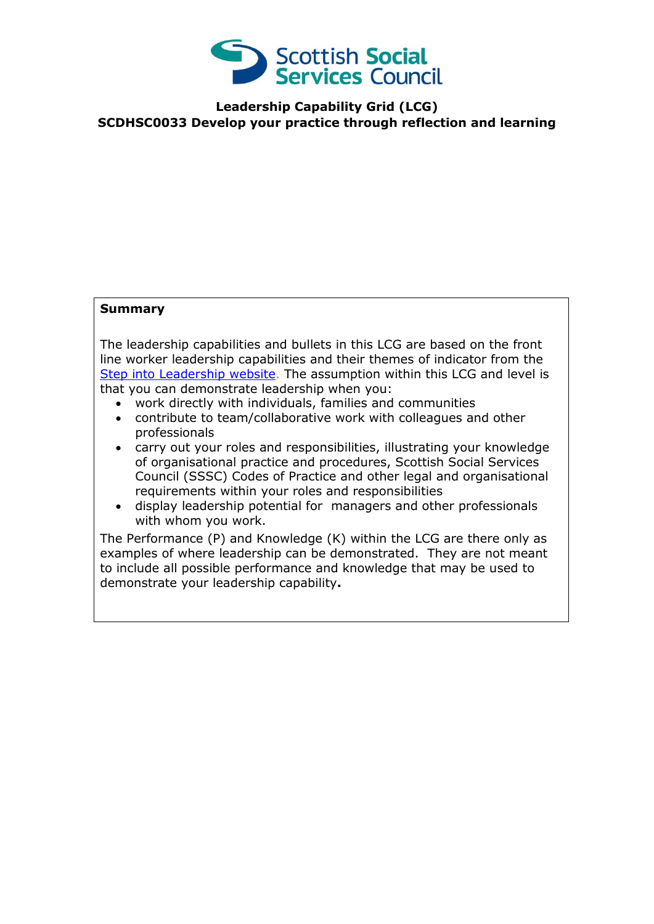

**Leadership Capability Grid (LCG) SCDHSC0033 Develop your practice through reflection and learning**

## **Summary**

The leadership capabilities and bullets in this LCG are based on the front line worker leadership capabilities and their themes of indicator from the [Step into Leadership website.](http://www.stepintoleadership.info/) The assumption within this LCG and level is that you can demonstrate leadership when you:

- work directly with individuals, families and communities
- contribute to team/collaborative work with colleagues and other professionals
- carry out your roles and responsibilities, illustrating your knowledge of organisational practice and procedures, Scottish Social Services Council (SSSC) Codes of Practice and other legal and organisational requirements within your roles and responsibilities
- display leadership potential for managers and other professionals with whom you work.

The Performance (P) and Knowledge (K) within the LCG are there only as examples of where leadership can be demonstrated. They are not meant to include all possible performance and knowledge that may be used to demonstrate your leadership capability**.**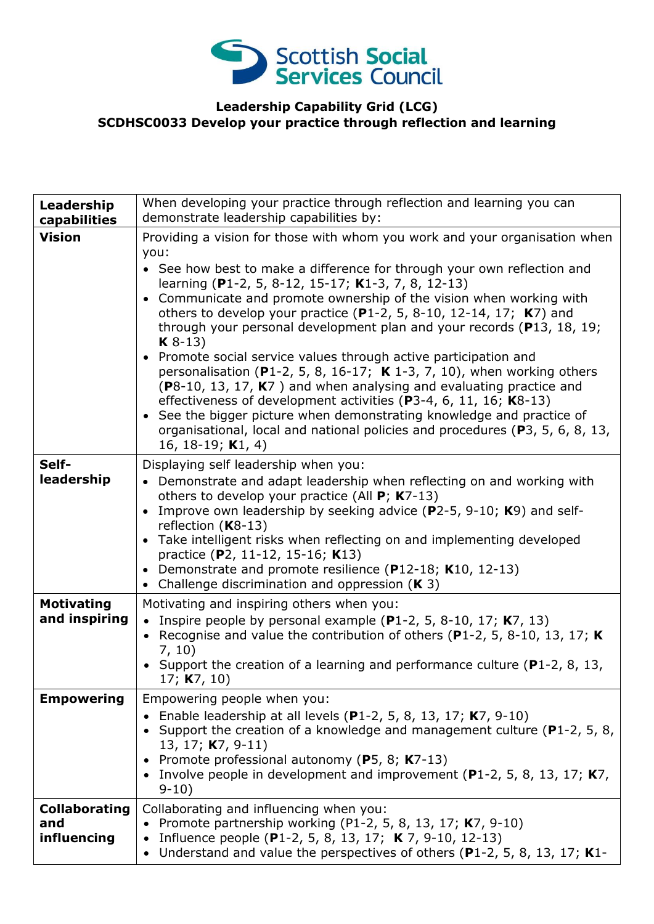

## **Leadership Capability Grid (LCG) SCDHSC0033 Develop your practice through reflection and learning**

| Leadership<br>capabilities                 | When developing your practice through reflection and learning you can<br>demonstrate leadership capabilities by:                                                                                                                                                                                                                                                                                                                                                                                                                                                                                                                                                                                                                                                                                                                                                                                                                                   |
|--------------------------------------------|----------------------------------------------------------------------------------------------------------------------------------------------------------------------------------------------------------------------------------------------------------------------------------------------------------------------------------------------------------------------------------------------------------------------------------------------------------------------------------------------------------------------------------------------------------------------------------------------------------------------------------------------------------------------------------------------------------------------------------------------------------------------------------------------------------------------------------------------------------------------------------------------------------------------------------------------------|
| <b>Vision</b>                              | Providing a vision for those with whom you work and your organisation when<br>you:<br>• See how best to make a difference for through your own reflection and<br>learning (P1-2, 5, 8-12, 15-17; K1-3, 7, 8, 12-13)<br>• Communicate and promote ownership of the vision when working with<br>others to develop your practice (P1-2, 5, 8-10, 12-14, 17; $K$ 7) and<br>through your personal development plan and your records (P13, 18, 19;<br>$K8-13$<br>• Promote social service values through active participation and<br>personalisation (P1-2, 5, 8, 16-17; $\boldsymbol{K}$ 1-3, 7, 10), when working others<br>(P8-10, 13, 17, K7) and when analysing and evaluating practice and<br>effectiveness of development activities (P3-4, 6, 11, 16; $K8-13$ )<br>• See the bigger picture when demonstrating knowledge and practice of<br>organisational, local and national policies and procedures (P3, 5, 6, 8, 13,<br>16, 18-19; $K1, 4$ ) |
| Self-<br>leadership                        | Displaying self leadership when you:<br>• Demonstrate and adapt leadership when reflecting on and working with<br>others to develop your practice (All $P$ ; K7-13)<br>• Improve own leadership by seeking advice (P2-5, 9-10; K9) and self-<br>reflection $(K8-13)$<br>• Take intelligent risks when reflecting on and implementing developed<br>practice (P2, 11-12, 15-16; K13)<br>• Demonstrate and promote resilience (P12-18; K10, 12-13)<br>• Challenge discrimination and oppression $(K 3)$                                                                                                                                                                                                                                                                                                                                                                                                                                               |
| <b>Motivating</b><br>and inspiring         | Motivating and inspiring others when you:<br>• Inspire people by personal example (P1-2, 5, 8-10, 17; $K7$ , 13)<br>• Recognise and value the contribution of others (P1-2, 5, 8-10, 13, 17; K)<br>7, 10)<br>• Support the creation of a learning and performance culture ( $P1-2$ , 8, 13,<br>17; $K7, 10$ )                                                                                                                                                                                                                                                                                                                                                                                                                                                                                                                                                                                                                                      |
| <b>Empowering</b>                          | Empowering people when you:<br>Enable leadership at all levels $(P1-2, 5, 8, 13, 17; K7, 9-10)$<br>• Support the creation of a knowledge and management culture ( $P1-2$ , 5, 8,<br>13, 17; K7, 9-11)<br>• Promote professional autonomy (P5, 8; K7-13)<br>• Involve people in development and improvement (P1-2, 5, 8, 13, 17; $K7$ ,<br>$9-10$                                                                                                                                                                                                                                                                                                                                                                                                                                                                                                                                                                                                   |
| <b>Collaborating</b><br>and<br>influencing | Collaborating and influencing when you:<br>Promote partnership working (P1-2, 5, 8, 13, 17; K7, 9-10)<br>Influence people (P1-2, 5, 8, 13, 17; K 7, 9-10, 12-13)<br>Understand and value the perspectives of others (P1-2, 5, 8, 13, 17; K1-                                                                                                                                                                                                                                                                                                                                                                                                                                                                                                                                                                                                                                                                                                       |